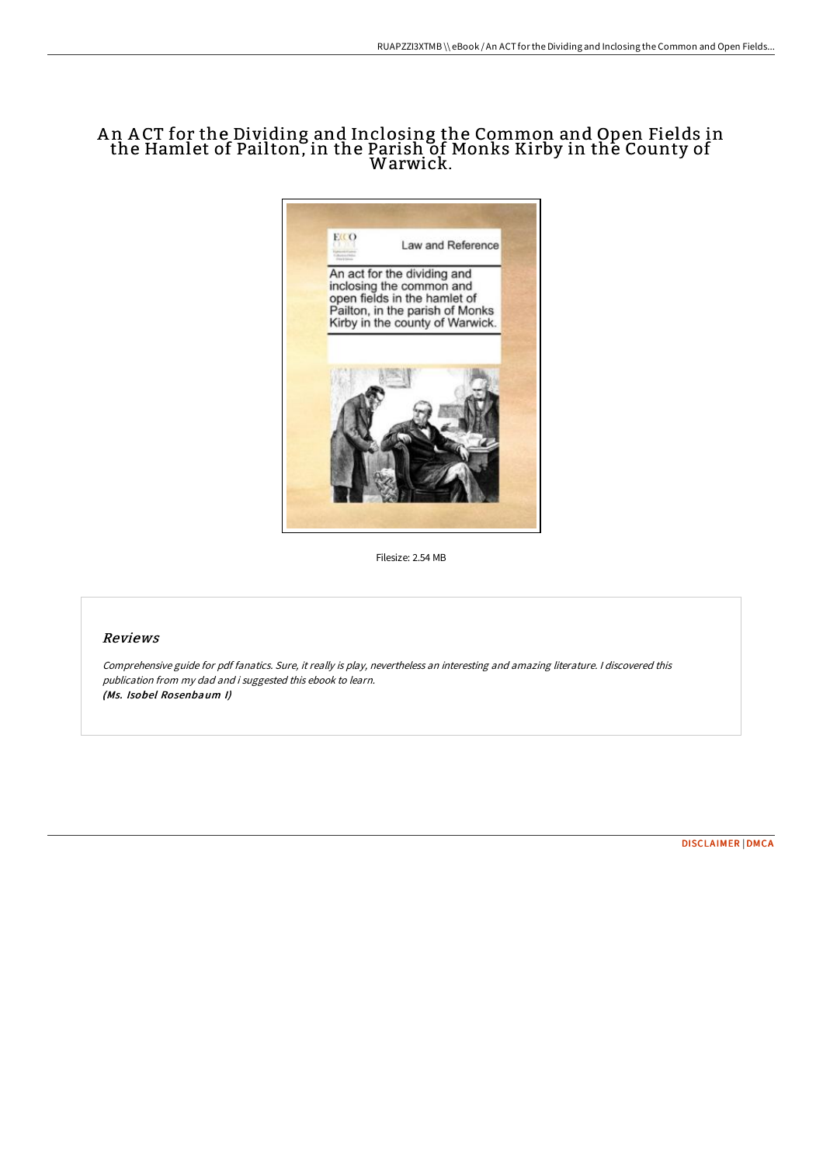## A n A CT for the Dividing and Inclosing the Common and Open Fields in the Hamlet of Pailton, in the Parish of Monks Kirby in the County of Warwick.



Filesize: 2.54 MB

## Reviews

Comprehensive guide for pdf fanatics. Sure, it really is play, nevertheless an interesting and amazing literature. <sup>I</sup> discovered this publication from my dad and i suggested this ebook to learn. (Ms. Isobel Rosenbaum I)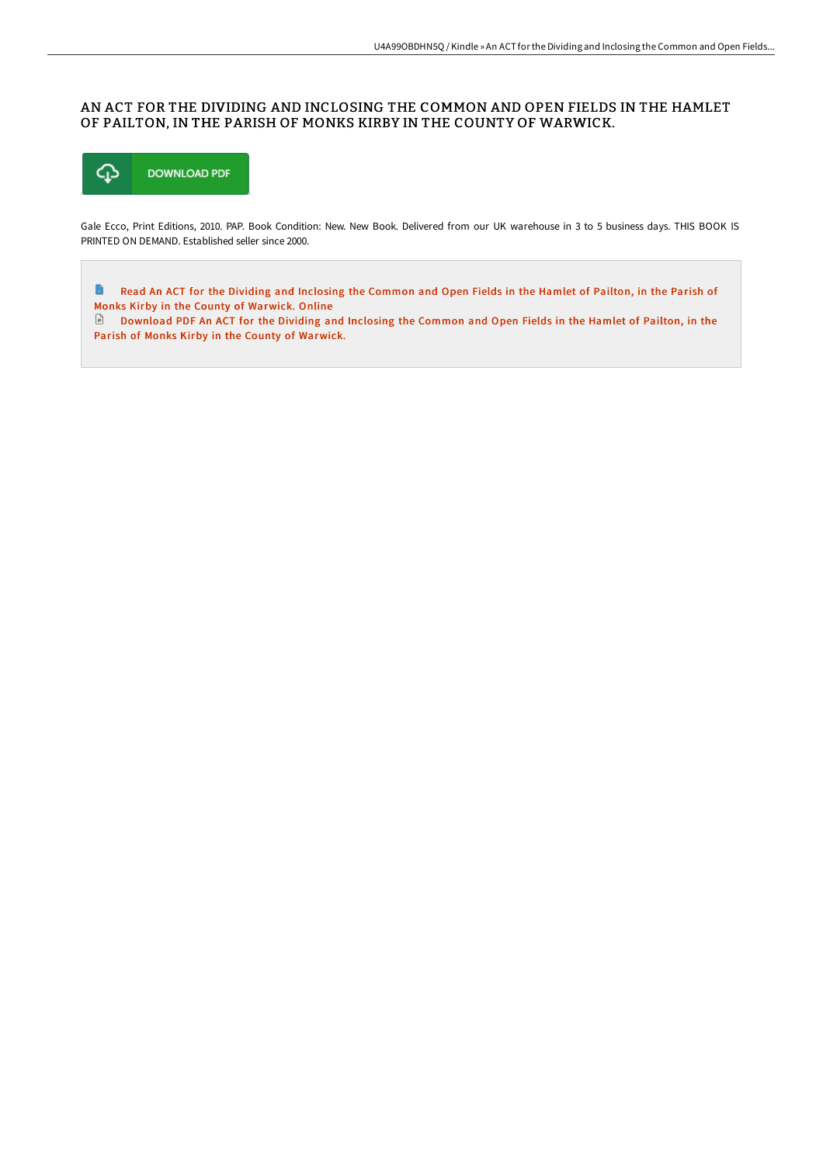## AN ACT FOR THE DIVIDING AND INCLOSING THE COMMON AND OPEN FIELDS IN THE HAMLET OF PAILTON, IN THE PARISH OF MONKS KIRBY IN THE COUNTY OF WARWICK.



Gale Ecco, Print Editions, 2010. PAP. Book Condition: New. New Book. Delivered from our UK warehouse in 3 to 5 business days. THIS BOOK IS PRINTED ON DEMAND. Established seller since 2000.

B Read An ACT for the Dividing and Inclosing the Common and Open Fields in the Hamlet of Pailton, in the Parish of Monks Kirby in the County of [Warwick.](http://digilib.live/an-act-for-the-dividing-and-inclosing-the-common.html) Online

[Download](http://digilib.live/an-act-for-the-dividing-and-inclosing-the-common.html) PDF An ACT for the Dividing and Inclosing the Common and Open Fields in the Hamlet of Pailton, in the Parish of Monks Kirby in the County of Warwick.